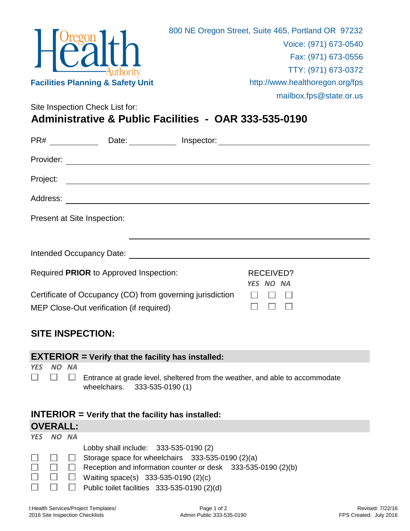

Site Inspection Check List for: **Administrative & Public Facilities - OAR 333-535-0190**

|                             | Date: $\qquad \qquad \qquad$                                                                                          | Inspector: |                  |  |  |
|-----------------------------|-----------------------------------------------------------------------------------------------------------------------|------------|------------------|--|--|
| Provider:                   |                                                                                                                       |            |                  |  |  |
| Project:                    | <u> 1980 - Johann Barbara, martxa alemaniar argametria (h. 1980).</u>                                                 |            |                  |  |  |
| Address:                    | <u> 1989 - Johann John Stein, markin film yn y brening yn y brening yn y brening yn y brening yn y brening yn y b</u> |            |                  |  |  |
| Present at Site Inspection: |                                                                                                                       |            |                  |  |  |
|                             |                                                                                                                       |            |                  |  |  |
| Intended Occupancy Date:    |                                                                                                                       |            |                  |  |  |
|                             | Required PRIOR to Approved Inspection:                                                                                |            | RECEIVED?        |  |  |
|                             | Certificate of Occupancy (CO) from governing jurisdiction<br>MEP Close-Out verification (if required)                 |            | <b>YES NO NA</b> |  |  |

## **SITE INSPECTION:**

|                                                      |       |  | $EXTERIOR = Verify that the facility has installed:$                                                          |  |  |  |
|------------------------------------------------------|-------|--|---------------------------------------------------------------------------------------------------------------|--|--|--|
| <b>YES</b>                                           | NO NA |  | Entrance at grade level, sheltered from the weather, and able to accommodate<br>wheelchairs. 333-535-0190 (1) |  |  |  |
| $INTERIOR = Verify that the facility has installed:$ |       |  |                                                                                                               |  |  |  |
| <b>OVERALL:</b>                                      |       |  |                                                                                                               |  |  |  |
| <b>YES</b>                                           | NO NA |  |                                                                                                               |  |  |  |
|                                                      |       |  | Lobby shall include: 333-535-0190 (2)                                                                         |  |  |  |
|                                                      |       |  | Storage space for wheelchairs 333-535-0190 (2)(a)                                                             |  |  |  |
|                                                      |       |  | Reception and information counter or desk 333-535-0190 (2)(b)                                                 |  |  |  |
|                                                      |       |  | Waiting space(s) 333-535-0190 (2)(c)                                                                          |  |  |  |
|                                                      |       |  | Public toilet facilities 333-535-0190 (2)(d)                                                                  |  |  |  |